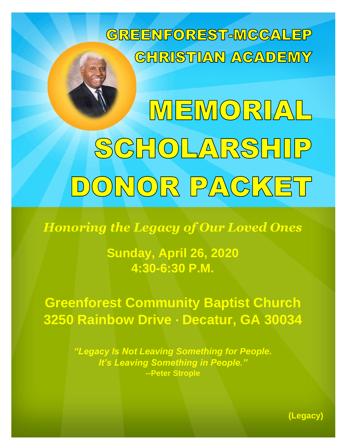

MEMORIAL SCHOLARSHIP DONOR PACKET

*Honoring the Legacy of Our Loved Ones*

**Sunday, April 26, 2020 4:30-6:30 P.M.**

**Greenforest Community Baptist Church 3250 Rainbow Drive ∙ Decatur, GA 30034**

> *"Legacy Is Not Leaving Something for People. It's Leaving Something in People."* **--Peter Strople**

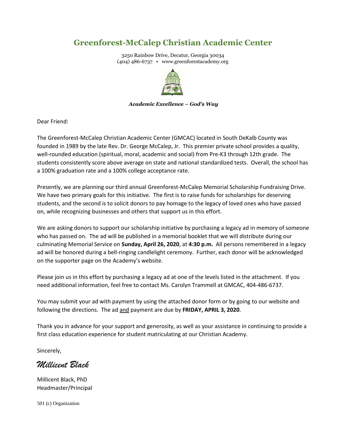# **Greenforest-McCalep Christian Academic Center**

3250 Rainbow Drive, Decatur, Georgia 30034 (404) 486-6737 • www.greenforestacademy.org



## *Academic Excellence – God's Way*

Dear Friend:

The Greenforest-McCalep Christian Academic Center (GMCAC) located in South DeKalb County was founded in 1989 by the late Rev. Dr. George McCalep, Jr. This premier private school provides a quality, well-rounded education (spiritual, moral, academic and social) from Pre-K3 through 12th grade. The students consistently score above average on state and national standardized tests. Overall, the school has a 100% graduation rate and a 100% college acceptance rate.

Presently, we are planning our third annual Greenforest-McCalep Memorial Scholarship Fundraising Drive. We have two primary goals for this initiative. The first is to raise funds for scholarships for deserving students, and the second is to solicit donors to pay homage to the legacy of loved ones who have passed on, while recognizing businesses and others that support us in this effort.

We are asking donors to support our scholarship initiative by purchasing a legacy ad in memory of someone who has passed on. The ad will be published in a memorial booklet that we will distribute during our culminating Memorial Service on **Sunday, April 26, 2020**, at **4:30 p.m.** All persons remembered in a legacy ad will be honored during a bell-ringing candlelight ceremony. Further, each donor will be acknowledged on the supporter page on the Academy's website.

Please join us in this effort by purchasing a legacy ad at one of the levels listed in the attachment. If you need additional information, feel free to contact Ms. Carolyn Trammell at GMCAC, 404-486-6737.

You may submit your ad with payment by using the attached donor form or by going to our website and following the directions. The ad and payment are due by **FRIDAY, APRIL 3, 2020**.

Thank you in advance for your support and generosity, as well as your assistance in continuing to provide a first class education experience for student matriculating at our Christian Academy.

Sincerely,

*Millicent Black*

Millicent Black, PhD Headmaster/Principal

501 (c) Organization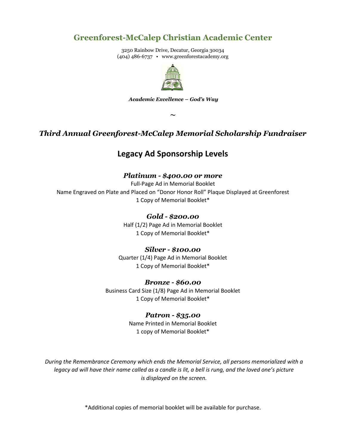# **Greenforest-McCalep Christian Academic Center**

3250 Rainbow Drive, Decatur, Georgia 30034 (404) 486-6737 • www.greenforestacademy.org



#### *Academic Excellence – God's Way*

**~**

# *Third Annual Greenforest-McCalep Memorial Scholarship Fundraiser*

# **Legacy Ad Sponsorship Levels**

## *Platinum - \$400.00 or more*

Full-Page Ad in Memorial Booklet Name Engraved on Plate and Placed on "Donor Honor Roll" Plaque Displayed at Greenforest 1 Copy of Memorial Booklet\*

## *Gold - \$200.00*

Half (1/2) Page Ad in Memorial Booklet 1 Copy of Memorial Booklet\*

## *Silver - \$100.00*

Quarter (1/4) Page Ad in Memorial Booklet 1 Copy of Memorial Booklet\*

## *Bronze - \$60.00*

Business Card Size (1/8) Page Ad in Memorial Booklet 1 Copy of Memorial Booklet\*

## *Patron - \$35.00*

Name Printed in Memorial Booklet 1 copy of Memorial Booklet\*

*During the Remembrance Ceremony which ends the Memorial Service, all persons memorialized with a legacy ad will have their name called as a candle is lit, a bell is rung, and the loved one's picture is displayed on the screen.*

\*Additional copies of memorial booklet will be available for purchase.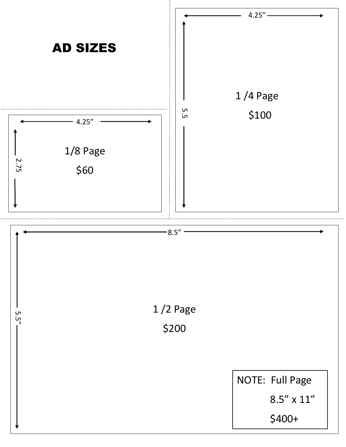